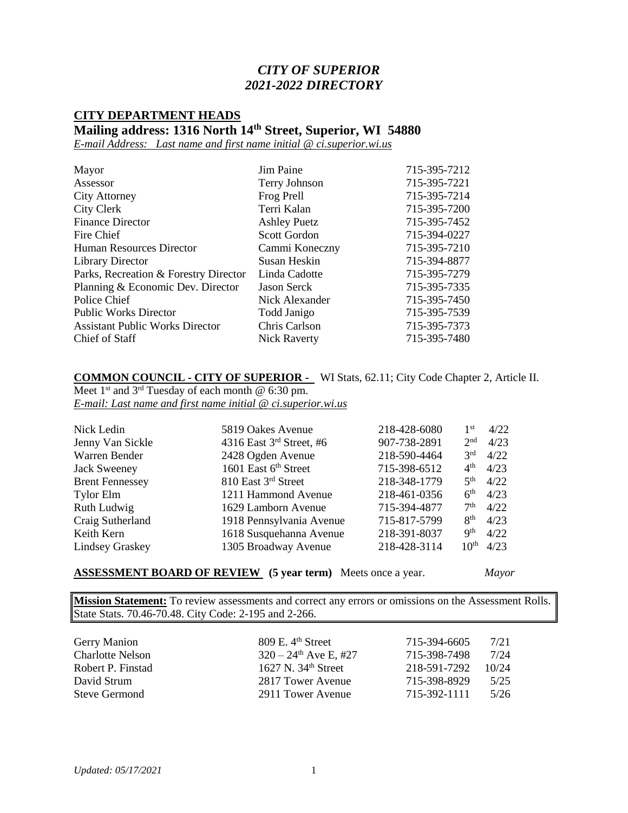### *CITY OF SUPERIOR 2021-2022 DIRECTORY*

# **CITY DEPARTMENT HEADS**

**Mailing address: 1316 North 14th Street, Superior, WI 54880**

*E-mail Address: Last name and first name initial @ ci.superior.wi.us*

| Mayor                                  | Jim Paine           | 715-395-7212 |
|----------------------------------------|---------------------|--------------|
| Assessor                               | Terry Johnson       | 715-395-7221 |
| <b>City Attorney</b>                   | Frog Prell          | 715-395-7214 |
| City Clerk                             | Terri Kalan         | 715-395-7200 |
| <b>Finance Director</b>                | <b>Ashley Puetz</b> | 715-395-7452 |
| Fire Chief                             | <b>Scott Gordon</b> | 715-394-0227 |
| Human Resources Director               | Cammi Koneczny      | 715-395-7210 |
| <b>Library Director</b>                | Susan Heskin        | 715-394-8877 |
| Parks, Recreation & Forestry Director  | Linda Cadotte       | 715-395-7279 |
| Planning & Economic Dev. Director      | <b>Jason Serck</b>  | 715-395-7335 |
| Police Chief                           | Nick Alexander      | 715-395-7450 |
| <b>Public Works Director</b>           | Todd Janigo         | 715-395-7539 |
| <b>Assistant Public Works Director</b> | Chris Carlson       | 715-395-7373 |
| Chief of Staff                         | <b>Nick Raverty</b> | 715-395-7480 |

**COMMON COUNCIL - CITY OF SUPERIOR -** WI Stats, 62.11; City Code Chapter 2, Article II. Meet  $1<sup>st</sup>$  and  $3<sup>rd</sup>$  Tuesday of each month @ 6:30 pm. *E-mail: Last name and first name initial @ ci.superior.wi.us*

| Nick Ledin             | 5819 Oakes Avenue          | 218-428-6080 | 1 <sup>st</sup>          | 4/22 |
|------------------------|----------------------------|--------------|--------------------------|------|
| Jenny Van Sickle       | 4316 East $3rd$ Street, #6 | 907-738-2891 | 2 <sub>nd</sub>          | 4/23 |
| Warren Bender          | 2428 Ogden Avenue          | 218-590-4464 | 3 <sup>rd</sup>          | 4/22 |
| <b>Jack Sweeney</b>    | 1601 East 6th Street       | 715-398-6512 | 4 <sup>th</sup>          | 4/23 |
| <b>Brent Fennessey</b> | 810 East 3rd Street        | 218-348-1779 | 5 <sup>th</sup>          | 4/22 |
| <b>Tylor Elm</b>       | 1211 Hammond Avenue        | 218-461-0356 | 6 <sup>th</sup>          | 4/23 |
| Ruth Ludwig            | 1629 Lamborn Avenue        | 715-394-4877 | 7 <sup>th</sup>          | 4/22 |
| Craig Sutherland       | 1918 Pennsylvania Avenue   | 715-817-5799 | 8 <sup>th</sup>          | 4/23 |
| Keith Kern             | 1618 Susquehanna Avenue    | 218-391-8037 | $\mathbf{Q}^{\text{th}}$ | 4/22 |
| <b>Lindsey Graskey</b> | 1305 Broadway Avenue       | 218-428-3114 | 10 <sup>th</sup>         | 4/23 |

**ASSESSMENT BOARD OF REVIEW (5 year term)** Meets once a year. *Mayor* 

**Mission Statement:** To review assessments and correct any errors or omissions on the Assessment Rolls. State Stats. 70.46-70.48. City Code: 2-195 and 2-266.

| <b>Gerry Manion</b>     | $809$ E. $4th$ Street               | 715-394-6605 | 7/21  |
|-------------------------|-------------------------------------|--------------|-------|
| <b>Charlotte Nelson</b> | $320 - 24$ <sup>th</sup> Ave E, #27 | 715-398-7498 | 7/24  |
| Robert P. Finstad       | 1627 N. $34th$ Street               | 218-591-7292 | 10/24 |
| David Strum             | 2817 Tower Avenue                   | 715-398-8929 | 5/25  |
| Steve Germond           | 2911 Tower Avenue                   | 715-392-1111 | 5/26  |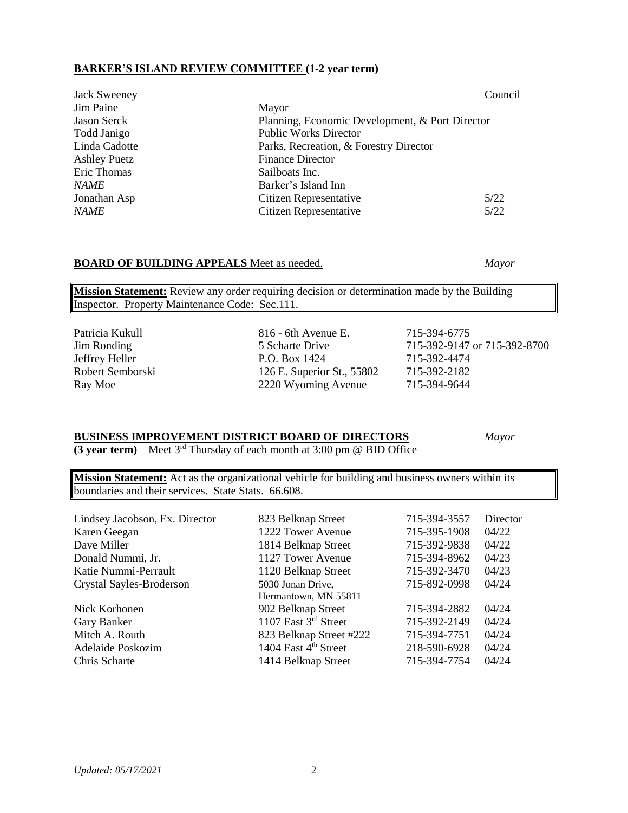### **BARKER'S ISLAND REVIEW COMMITTEE (1-2 year term)**

|                                                 | Council |
|-------------------------------------------------|---------|
| Mayor                                           |         |
| Planning, Economic Development, & Port Director |         |
| <b>Public Works Director</b>                    |         |
| Parks, Recreation, & Forestry Director          |         |
| <b>Finance Director</b>                         |         |
| Sailboats Inc.                                  |         |
| Barker's Island Inn                             |         |
| 5/22<br>Citizen Representative                  |         |
| Citizen Representative<br>5/22                  |         |
|                                                 |         |

### **BOARD OF BUILDING APPEALS** Meet as needed. *Mayor*

**Mission Statement:** Review any order requiring decision or determination made by the Building Inspector. Property Maintenance Code: Sec.111.

| Patricia Kukull    | $816$ - 6th Avenue E.      | 715-394-6775                 |
|--------------------|----------------------------|------------------------------|
| <b>Jim Ronding</b> | 5 Scharte Drive            | 715-392-9147 or 715-392-8700 |
| Jeffrey Heller     | P.O. Box 1424              | 715-392-4474                 |
| Robert Semborski   | 126 E. Superior St., 55802 | 715-392-2182                 |
| Ray Moe            | 2220 Wyoming Avenue        | 715-394-9644                 |

### **BUSINESS IMPROVEMENT DISTRICT BOARD OF DIRECTORS** *Mayor*

**(3 year term)** Meet 3rd Thursday of each month at 3:00 pm @ BID Office

**Mission Statement:** Act as the organizational vehicle for building and business owners within its boundaries and their services. State Stats. 66.608.

|                                  | 715-394-3557       | Director |
|----------------------------------|--------------------|----------|
| 1222 Tower Avenue                | 715-395-1908       | 04/22    |
| 1814 Belknap Street              | 715-392-9838       | 04/22    |
| 1127 Tower Avenue                | 715-394-8962       | 04/23    |
| 1120 Belknap Street              | 715-392-3470       | 04/23    |
| 5030 Jonan Drive,                | 715-892-0998       | 04/24    |
| Hermantown, MN 55811             |                    |          |
| 902 Belknap Street               | 715-394-2882       | 04/24    |
| 1107 East 3rd Street             | 715-392-2149       | 04/24    |
| 823 Belknap Street #222          | 715-394-7751       | 04/24    |
| 1404 East 4 <sup>th</sup> Street | 218-590-6928       | 04/24    |
| 1414 Belknap Street              | 715-394-7754       | 04/24    |
|                                  | 823 Belknap Street |          |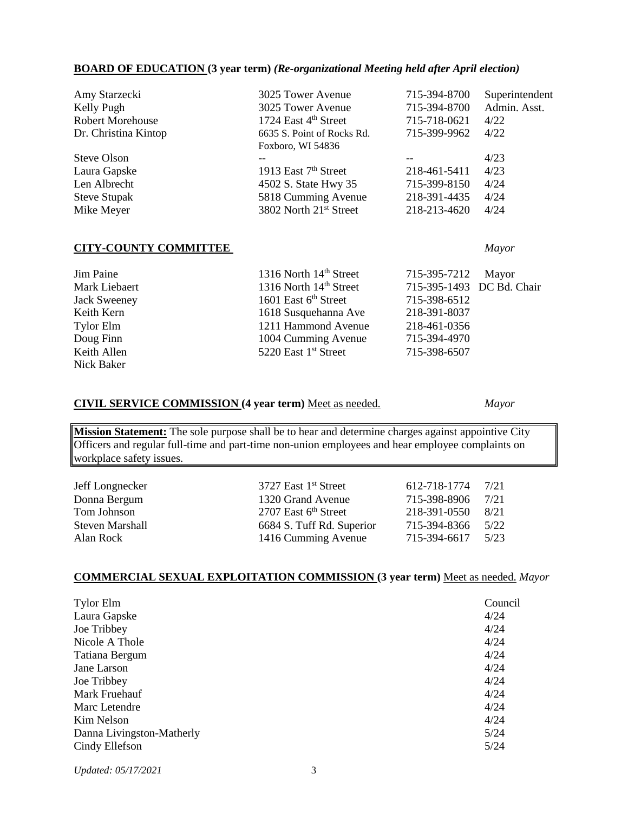#### **BOARD OF EDUCATION (3 year term)** *(Re-organizational Meeting held after April election)*

| Amy Starzecki           | 3025 Tower Avenue                  | 715-394-8700 | Superintendent |
|-------------------------|------------------------------------|--------------|----------------|
| Kelly Pugh              | 3025 Tower Avenue                  | 715-394-8700 | Admin. Asst.   |
| <b>Robert Morehouse</b> | 1724 East 4 <sup>th</sup> Street   | 715-718-0621 | 4/22           |
| Dr. Christina Kintop    | 6635 S. Point of Rocks Rd.         | 715-399-9962 | 4/22           |
|                         | Foxboro, WI 54836                  |              |                |
| Steve Olson             |                                    | $- -$        | 4/23           |
| Laura Gapske            | 1913 East $7th$ Street             | 218-461-5411 | 4/23           |
| Len Albrecht            | 4502 S. State Hwy 35               | 715-399-8150 | 4/24           |
| <b>Steve Stupak</b>     | 5818 Cumming Avenue                | 218-391-4435 | 4/24           |
| Mike Meyer              | 3802 North 21 <sup>st</sup> Street | 218-213-4620 | 4/24           |
|                         |                                    |              |                |
|                         |                                    |              |                |

### **CITY-COUNTY COMMITTEE** *Mayor*

### Jim Paine 1316 North 14<sup>th</sup> Street 715-395-7212 Mayor<br>Mark Liebaert 1316 North 14<sup>th</sup> Street 715-395-1493 DC Bd. Mark Liebaert 1316 North 14<sup>th</sup> Street 715-395-1493 DC Bd. Chair Jack Sweeney 1601 East 6<sup>th</sup> Street 715-398-6512 Keith Kern 1618 Susquehanna Ave 218-391-8037 Tylor Elm 1211 Hammond Avenue 218-461-0356 Doug Finn 1004 Cumming Avenue 715-394-4970 Keith Allen 5220 East 1<sup>st</sup> Street 715-398-6507 Nick Baker

### **CIVIL SERVICE COMMISSION (4 year term)** Meet as needed. *Mayor*

**Mission Statement:** The sole purpose shall be to hear and determine charges against appointive City Officers and regular full-time and part-time non-union employees and hear employee complaints on workplace safety issues.

| Jeff Longnecker        | 3727 East 1 <sup>st</sup> Street | 612-718-1774 | 7/21 |
|------------------------|----------------------------------|--------------|------|
| Donna Bergum           | 1320 Grand Avenue                | 715-398-8906 | 7/21 |
| Tom Johnson            | 2707 East $6th$ Street           | 218-391-0550 | 8/21 |
| <b>Steven Marshall</b> | 6684 S. Tuff Rd. Superior        | 715-394-8366 | 5/22 |
| Alan Rock              | 1416 Cumming Avenue              | 715-394-6617 | 5/23 |

### **COMMERCIAL SEXUAL EXPLOITATION COMMISSION (3 year term)** Meet as needed. *Mayor*

| <b>Tylor Elm</b>          | Council |
|---------------------------|---------|
| Laura Gapske              | 4/24    |
| Joe Tribbey               | 4/24    |
| Nicole A Thole            | 4/24    |
| Tatiana Bergum            | 4/24    |
| Jane Larson               | 4/24    |
| Joe Tribbey               | 4/24    |
| Mark Fruehauf             | 4/24    |
| Marc Letendre             | 4/24    |
| Kim Nelson                | 4/24    |
| Danna Livingston-Matherly | 5/24    |
| Cindy Ellefson            | 5/24    |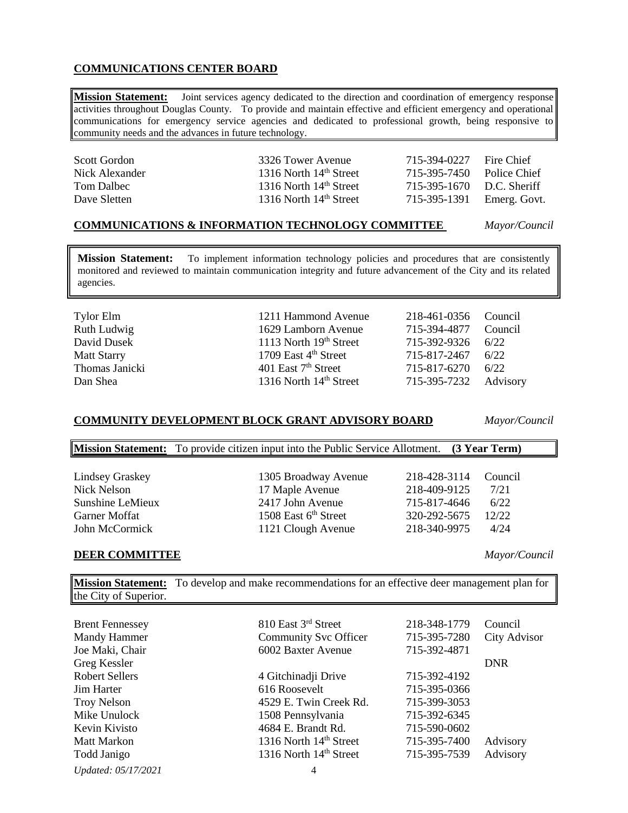### **COMMUNICATIONS CENTER BOARD**

**Mission Statement:** Joint services agency dedicated to the direction and coordination of emergency response activities throughout Douglas County. To provide and maintain effective and efficient emergency and operational communications for emergency service agencies and dedicated to professional growth, being responsive to community needs and the advances in future technology.

| Scott Gordon<br>Nick Alexander | 3326 Tower Avenue<br>1316 North $14th$ Street | 715-394-0227<br>715-395-7450 Police Chief | Fire Chief |
|--------------------------------|-----------------------------------------------|-------------------------------------------|------------|
| Tom Dalbec                     | 1316 North $14th$ Street                      | 715-395-1670 D.C. Sheriff                 |            |
| Dave Sletten                   | 1316 North $14th$ Street                      | 715-395-1391 Emerg. Govt.                 |            |

#### **COMMUNICATIONS & INFORMATION TECHNOLOGY COMMITTEE** *Mayor/Council*

**Mission Statement:** To implement information technology policies and procedures that are consistently monitored and reviewed to maintain communication integrity and future advancement of the City and its related agencies.

| Tylor Elm          | 1211 Hammond Avenue                | 218-461-0356 Council  |      |
|--------------------|------------------------------------|-----------------------|------|
| Ruth Ludwig        | 1629 Lamborn Avenue                | 715-394-4877 Council  |      |
| David Dusek        | 1113 North $19th$ Street           | 715-392-9326 6/22     |      |
| <b>Matt Starry</b> | 1709 East $4th$ Street             | 715-817-2467          | 6/22 |
| Thomas Janicki     | 401 East $7th$ Street              | 715-817-6270          | 6/22 |
| Dan Shea           | 1316 North 14 <sup>th</sup> Street | 715-395-7232 Advisory |      |

#### **COMMUNITY DEVELOPMENT BLOCK GRANT ADVISORY BOARD** *Mayor/Council*

**Mission Statement:** To provide citizen input into the Public Service Allotment. **(3 Year Term)** Lindsey Graskey 1305 Broadway Avenue 218-428-3114 Council Nick Nelson 17 Maple Avenue 218-409-9125 7/21 Sunshine LeMieux 2417 John Avenue 715-817-4646 6/22 Garner Moffat 1508 East 6<sup>th</sup> Street 320-292-5675 12/22 John McCormick 1121 Clough Avenue 218-340-9975 4/24

### **DEER COMMITTEE** *Mayor/Council*

**Mission Statement:** To develop and make recommendations for an effective deer management plan for the City of Superior.

| <b>Brent Fennessey</b> | 810 East 3rd Street                | 218-348-1779 | Council             |
|------------------------|------------------------------------|--------------|---------------------|
| Mandy Hammer           | <b>Community Svc Officer</b>       | 715-395-7280 | <b>City Advisor</b> |
| Joe Maki, Chair        | 6002 Baxter Avenue                 | 715-392-4871 |                     |
| Greg Kessler           |                                    |              | <b>DNR</b>          |
| <b>Robert Sellers</b>  | 4 Gitchinadji Drive                | 715-392-4192 |                     |
| Jim Harter             | 616 Roosevelt                      | 715-395-0366 |                     |
| <b>Troy Nelson</b>     | 4529 E. Twin Creek Rd.             | 715-399-3053 |                     |
| Mike Unulock           | 1508 Pennsylvania                  | 715-392-6345 |                     |
| Kevin Kivisto          | 4684 E. Brandt Rd.                 | 715-590-0602 |                     |
| <b>Matt Markon</b>     | 1316 North 14 <sup>th</sup> Street | 715-395-7400 | Advisory            |
| Todd Janigo            | 1316 North 14 <sup>th</sup> Street | 715-395-7539 | Advisory            |
|                        |                                    |              |                     |

*Updated: 05/17/2021* 4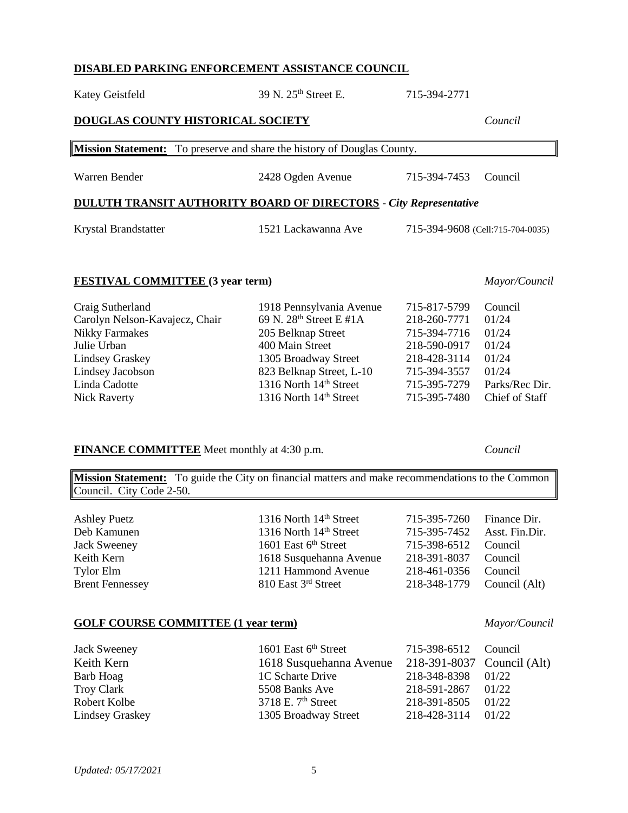### **DISABLED PARKING ENFORCEMENT ASSISTANCE COUNCIL**

| <b>DOUGLAS COUNTY HISTORICAL SOCIETY</b>                                                                                                                                         |                                                                                                                                                                                                                              |                                                                                                                              |                                                                                          |
|----------------------------------------------------------------------------------------------------------------------------------------------------------------------------------|------------------------------------------------------------------------------------------------------------------------------------------------------------------------------------------------------------------------------|------------------------------------------------------------------------------------------------------------------------------|------------------------------------------------------------------------------------------|
| <b>Mission Statement:</b>                                                                                                                                                        | To preserve and share the history of Douglas County.                                                                                                                                                                         |                                                                                                                              |                                                                                          |
| Warren Bender                                                                                                                                                                    | 2428 Ogden Avenue                                                                                                                                                                                                            | 715-394-7453                                                                                                                 | Council                                                                                  |
| <b>DULUTH TRANSIT AUTHORITY BOARD OF DIRECTORS</b> - City Representative                                                                                                         |                                                                                                                                                                                                                              |                                                                                                                              |                                                                                          |
| Krystal Brandstatter                                                                                                                                                             | 1521 Lackawanna Ave                                                                                                                                                                                                          | 715-394-9608 (Cell:715-704-0035)                                                                                             |                                                                                          |
| <b>FESTIVAL COMMITTEE (3 year term)</b><br>Mayor/Council                                                                                                                         |                                                                                                                                                                                                                              |                                                                                                                              |                                                                                          |
| Craig Sutherland<br>Carolyn Nelson-Kavajecz, Chair<br><b>Nikky Farmakes</b><br>Julie Urban<br><b>Lindsey Graskey</b><br>Lindsey Jacobson<br>Linda Cadotte<br><b>Nick Raverty</b> | 1918 Pennsylvania Avenue<br>69 N. 28 <sup>th</sup> Street E #1A<br>205 Belknap Street<br>400 Main Street<br>1305 Broadway Street<br>823 Belknap Street, L-10<br>1316 North 14th Street<br>1316 North 14 <sup>th</sup> Street | 715-817-5799<br>218-260-7771<br>715-394-7716<br>218-590-0917<br>218-428-3114<br>715-394-3557<br>715-395-7279<br>715-395-7480 | Council<br>01/24<br>01/24<br>01/24<br>01/24<br>01/24<br>Parks/Rec Dir.<br>Chief of Staff |

#### **FINANCE COMMITTEE** Meet monthly at 4:30 p.m. *Council*

**Mission Statement:** To guide the City on financial matters and make recommendations to the Common Council. City Code 2-50.

Jack Sweeney 1601 East 6<sup>th</sup> Street 715-398-6512 Council Keith Kern 1618 Susquehanna Avenue 218-391-8037 Council Tylor Elm 1211 Hammond Avenue 218-461-0356 Council

Ashley Puetz<br>
1316 North 14<sup>th</sup> Street 715-395-7260 Finance Dir.<br>
1316 North 14<sup>th</sup> Street 715-395-7452 Asst. Fin.Dir 1316 North 14<sup>th</sup> Street 715-395-7452 Asst. Fin.Dir. Brent Fennessey 810 East 3<sup>rd</sup> Street 218-348-1779 Council (Alt)

### **GOLF COURSE COMMITTEE (1 year term)** *Mayor/Council*

| Jack Sweeney           | 1601 East $6th$ Street  | 715-398-6512 Council       |       |
|------------------------|-------------------------|----------------------------|-------|
| Keith Kern             | 1618 Susquehanna Avenue | 218-391-8037 Council (Alt) |       |
| Barb Hoag              | 1C Scharte Drive        | 218-348-8398 01/22         |       |
| <b>Troy Clark</b>      | 5508 Banks Ave          | 218-591-2867               | 01/22 |
| Robert Kolbe           | 3718 E. $7th$ Street    | 218-391-8505               | 01/22 |
| <b>Lindsey Graskey</b> | 1305 Broadway Street    | 218-428-3114               | 01/22 |

Katey Geistfeld 39 N. 25<sup>th</sup> Street E. 715-394-2771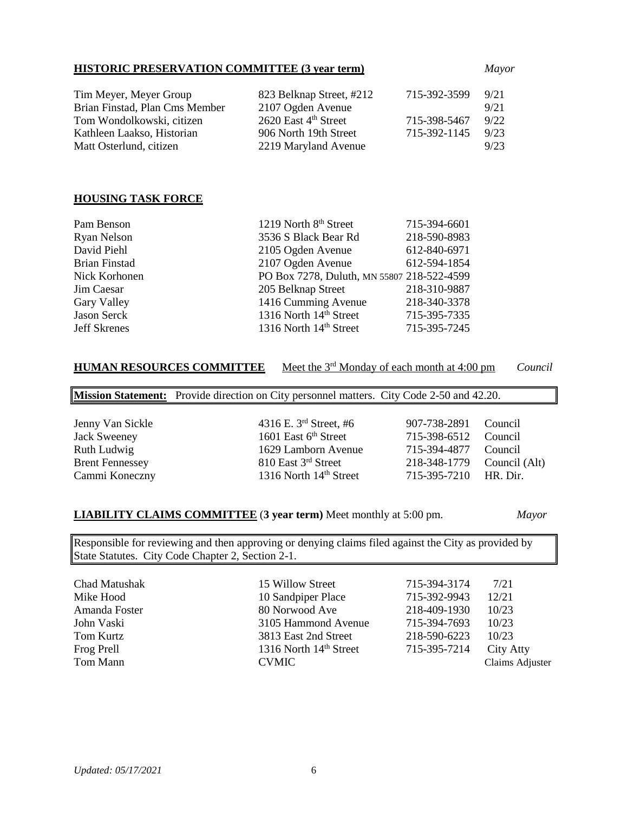### **HISTORIC PRESERVATION COMMITTEE (3 year term)** *Mayor*

| Tim Meyer, Meyer Group         | 823 Belknap Street, #212         | 715-392-3599 | 9/21 |
|--------------------------------|----------------------------------|--------------|------|
| Brian Finstad, Plan Cms Member | 2107 Ogden Avenue                |              | 9/21 |
| Tom Wondolkowski, citizen      | 2620 East 4 <sup>th</sup> Street | 715-398-5467 | 9/22 |
| Kathleen Laakso, Historian     | 906 North 19th Street            | 715-392-1145 | 9/23 |
| Matt Osterlund, citizen        | 2219 Maryland Avenue             |              | 9/23 |

### **HOUSING TASK FORCE**

| Pam Benson           | 1219 North 8th Street                      | 715-394-6601 |
|----------------------|--------------------------------------------|--------------|
| <b>Ryan Nelson</b>   | 3536 S Black Bear Rd                       | 218-590-8983 |
| David Piehl          | 2105 Ogden Avenue                          | 612-840-6971 |
| <b>Brian Finstad</b> | 2107 Ogden Avenue                          | 612-594-1854 |
| Nick Korhonen        | PO Box 7278, Duluth, MN 55807 218-522-4599 |              |
| Jim Caesar           | 205 Belknap Street                         | 218-310-9887 |
| Gary Valley          | 1416 Cumming Avenue                        | 218-340-3378 |
| Jason Serck          | 1316 North 14 <sup>th</sup> Street         | 715-395-7335 |
| <b>Jeff Skrenes</b>  | 1316 North 14 <sup>th</sup> Street         | 715-395-7245 |

### **HUMAN RESOURCES COMMITTEE** Meet the 3rd Monday of each month at 4:00 pm *Council*

**Mission Statement:** Provide direction on City personnel matters. City Code 2-50 and 42.20.

| Jenny Van Sickle<br><b>Jack Sweeney</b><br>Ruth Ludwig<br><b>Brent Fennessey</b><br>Cammi Koneczny | 4316 E. $3^{rd}$ Street, #6<br>1601 East 6 <sup>th</sup> Street<br>1629 Lamborn Avenue<br>810 East 3rd Street<br>1316 North 14th Street | 907-738-2891<br>715-398-6512<br>715-394-4877<br>218-348-1779 Council (Alt)<br>715-395-7210 HR. Dir. | Council<br>Council<br>Council |
|----------------------------------------------------------------------------------------------------|-----------------------------------------------------------------------------------------------------------------------------------------|-----------------------------------------------------------------------------------------------------|-------------------------------|
|                                                                                                    |                                                                                                                                         |                                                                                                     |                               |

### **LIABILITY CLAIMS COMMITTEE** (**3 year term)** Meet monthly at 5:00 pm. *Mayor*

Responsible for reviewing and then approving or denying claims filed against the City as provided by State Statutes. City Code Chapter 2, Section 2-1.

| Chad Matushak | 15 Willow Street                   | 715-394-3174 | 7/21            |
|---------------|------------------------------------|--------------|-----------------|
| Mike Hood     | 10 Sandpiper Place                 | 715-392-9943 | 12/21           |
| Amanda Foster | 80 Norwood Ave                     | 218-409-1930 | 10/23           |
| John Vaski    | 3105 Hammond Avenue                | 715-394-7693 | 10/23           |
| Tom Kurtz     | 3813 East 2nd Street               | 218-590-6223 | 10/23           |
| Frog Prell    | 1316 North 14 <sup>th</sup> Street | 715-395-7214 | City Atty       |
| Tom Mann      | <b>CVMIC</b>                       |              | Claims Adjuster |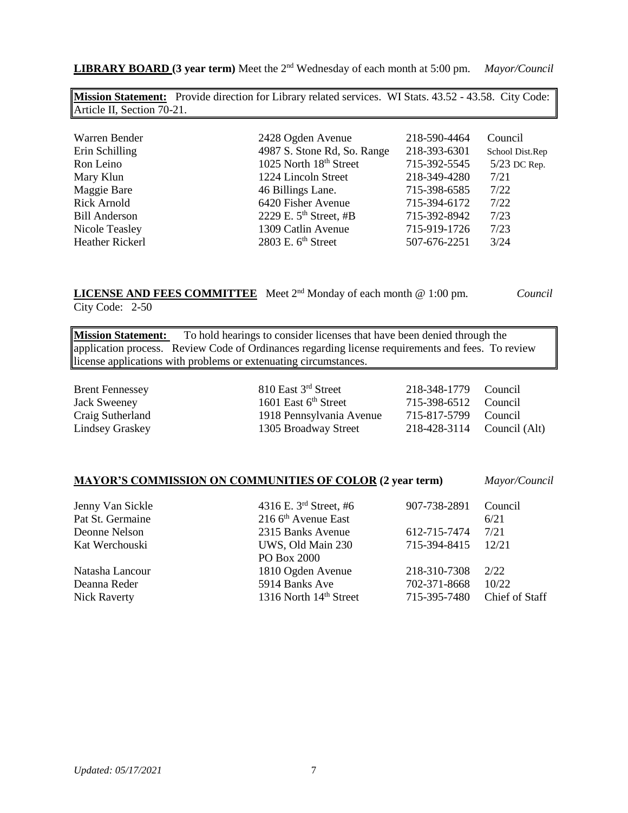*Updated: 05/17/2021* 7

| Article II, Section 70-21. |                             |              |                 |
|----------------------------|-----------------------------|--------------|-----------------|
|                            |                             |              |                 |
| Warren Bender              | 2428 Ogden Avenue           | 218-590-4464 | Council         |
| Erin Schilling             | 4987 S. Stone Rd, So. Range | 218-393-6301 | School Dist.Rep |
| Ron Leino                  | 1025 North 18th Street      | 715-392-5545 | 5/23 DC Rep.    |
| Mary Klun                  | 1224 Lincoln Street         | 218-349-4280 | 7/21            |
| Maggie Bare                | 46 Billings Lane.           | 715-398-6585 | 7/22            |
| <b>Rick Arnold</b>         | 6420 Fisher Avenue          | 715-394-6172 | 7/22            |
| <b>Bill Anderson</b>       | 2229 E. $5th$ Street, #B    | 715-392-8942 | 7/23            |
| Nicole Teasley             | 1309 Catlin Avenue          | 715-919-1726 | 7/23            |
| Heather Rickerl            | $2803$ E. $6th$ Street      | 507-676-2251 | 3/24            |

**LIBRARY BOARD** (3 year term) Meet the 2<sup>nd</sup> Wednesday of each month at 5:00 pm. *Mayor/Council* 

**Mission Statement:** Provide direction for Library related services. WI Stats. 43.52 - 43.58. City Code:

**LICENSE AND FEES COMMITTEE** Meet 2nd Monday of each month @ 1:00 pm. *Council* City Code: 2-50

**Mission Statement:** To hold hearings to consider licenses that have been denied through the application process. Review Code of Ordinances regarding license requirements and fees. To review license applications with problems or extenuating circumstances.

Brent Fennessey 810 East 3<sup>rd</sup> Street 218-348-1779 Council Jack Sweeney 1601 East 6<sup>th</sup> Street 715-398-6512 Council Craig Sutherland 1918 Pennsylvania Avenue 715-817-5799 Council Lindsey Graskey 1305 Broadway Street 218-428-3114 Council (Alt)

#### **MAYOR'S COMMISSION ON COMMUNITIES OF COLOR (2 year term)** *Mayor/Council*

Jenny Van Sickle 4316 E. 3rd Street, #6 907-738-2891 Council Pat St. Germaine  $2166<sup>th</sup>$  Avenue East 6/21 Deonne Nelson 2315 Banks Avenue 612-715-7474 7/21 Kat Werchouski UWS, Old Main 230 715-394-8415 12/21 PO Box 2000 Natasha Lancour 1810 Ogden Avenue 218-310-7308 2/22 Deanna Reder 5914 Banks Ave 702-371-8668 10/22 Nick Raverty 1316 North 14<sup>th</sup> Street 715-395-7480 Chief of Staff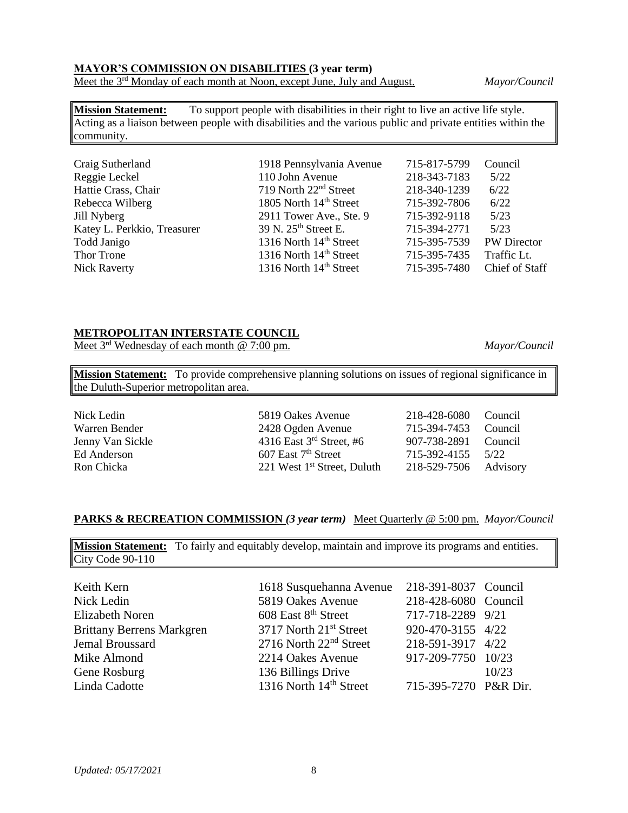### **MAYOR'S COMMISSION ON DISABILITIES (3 year term)**

Meet the 3rd Monday of each month at Noon, except June, July and August. *Mayor/Council*

**Mission Statement:** To support people with disabilities in their right to live an active life style. Acting as a liaison between people with disabilities and the various public and private entities within the community.

| 715-817-5799<br>Craig Sutherland<br>1918 Pennsylvania Avenue                    | Council            |
|---------------------------------------------------------------------------------|--------------------|
| 218-343-7183<br>110 John Avenue<br>Reggie Leckel                                | 5/22               |
| Hattie Crass, Chair<br>719 North 22 <sup>nd</sup> Street<br>218-340-1239        | 6/22               |
| 1805 North 14 <sup>th</sup> Street<br>715-392-7806<br>Rebecca Wilberg           | 6/22               |
| 715-392-9118<br>2911 Tower Ave., Ste. 9<br>Jill Nyberg                          | 5/23               |
| 39 N. 25 <sup>th</sup> Street E.<br>Katey L. Perkkio, Treasurer<br>715-394-2771 | 5/23               |
| 1316 North 14th Street<br>715-395-7539<br>Todd Janigo                           | <b>PW</b> Director |
| 1316 North 14 <sup>th</sup> Street<br>715-395-7435<br>Thor Trone                | Traffic Lt.        |
| 1316 North 14 <sup>th</sup> Street<br>715-395-7480<br><b>Nick Raverty</b>       | Chief of Staff     |

### **METROPOLITAN INTERSTATE COUNCIL**

Meet 3rd Wednesday of each month @ 7:00 pm. *Mayor/Council*

**Mission Statement:** To provide comprehensive planning solutions on issues of regional significance in the Duluth-Superior metropolitan area.

Nick Ledin 5819 Oakes Avenue 218-428-6080 Council Warren Bender 2428 Ogden Avenue 715-394-7453 Council Jenny Van Sickle 4316 East 3<sup>rd</sup> Street, #6 907-738-2891 Council Ed Anderson 607 East 7<sup>th</sup> Street 715-392-4155 5/22 Ron Chicka 221 West 1<sup>st</sup> Street, Duluth 218-529-7506 Advisory

### **PARKS & RECREATION COMMISSION** *(3 year term)* Meet Quarterly @ 5:00 pm. *Mayor/Council*

**Mission Statement:** To fairly and equitably develop, maintain and improve its programs and entities. City Code 90-110

| Keith Kern                       | 1618 Susquehanna Avenue            | 218-391-8037 Council  |       |
|----------------------------------|------------------------------------|-----------------------|-------|
| Nick Ledin                       | 5819 Oakes Avenue                  | 218-428-6080 Council  |       |
| Elizabeth Noren                  | 608 East 8 <sup>th</sup> Street    | 717-718-2289 9/21     |       |
| <b>Brittany Berrens Markgren</b> | 3717 North 21 <sup>st</sup> Street | 920-470-3155 4/22     |       |
| Jemal Broussard                  | $2716$ North $22nd$ Street         | 218-591-3917 4/22     |       |
| Mike Almond                      | 2214 Oakes Avenue                  | 917-209-7750 10/23    |       |
| Gene Rosburg                     | 136 Billings Drive                 |                       | 10/23 |
| Linda Cadotte                    | 1316 North 14 <sup>th</sup> Street | 715-395-7270 P&R Dir. |       |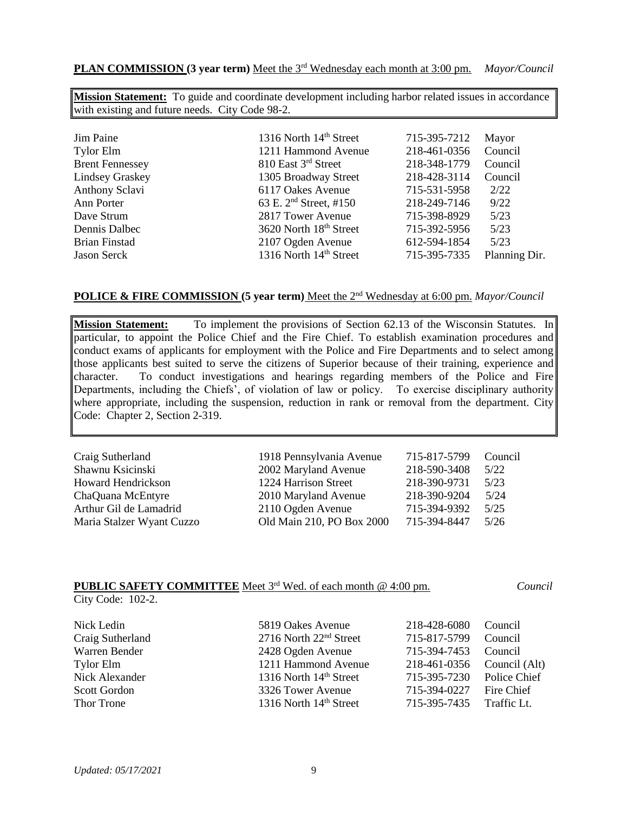**PLAN COMMISSION (3 year term)** Meet the 3<sup>rd</sup> Wednesday each month at 3:00 pm. *Mayor/Council* 

**Mission Statement:** To guide and coordinate development including harbor related issues in accordance with existing and future needs. City Code 98-2.

| Jim Paine              | 1316 North 14 <sup>th</sup> Street | 715-395-7212 | Mayor         |
|------------------------|------------------------------------|--------------|---------------|
| <b>Tylor Elm</b>       | 1211 Hammond Avenue                | 218-461-0356 | Council       |
| <b>Brent Fennessey</b> | 810 East 3rd Street                | 218-348-1779 | Council       |
| <b>Lindsey Graskey</b> | 1305 Broadway Street               | 218-428-3114 | Council       |
| Anthony Sclavi         | 6117 Oakes Avenue                  | 715-531-5958 | 2/22          |
| Ann Porter             | 63 E. 2 <sup>nd</sup> Street, #150 | 218-249-7146 | 9/22          |
| Dave Strum             | 2817 Tower Avenue                  | 715-398-8929 | 5/23          |
| Dennis Dalbec          | 3620 North 18th Street             | 715-392-5956 | 5/23          |
| <b>Brian Finstad</b>   | 2107 Ogden Avenue                  | 612-594-1854 | 5/23          |
| <b>Jason Serck</b>     | 1316 North 14th Street             | 715-395-7335 | Planning Dir. |
|                        |                                    |              |               |

### **POLICE & FIRE COMMISSION (5 year term)** Meet the 2nd Wednesday at 6:00 pm. *Mayor/Council*

**Mission Statement:** To implement the provisions of Section 62.13 of the Wisconsin Statutes. In particular, to appoint the Police Chief and the Fire Chief. To establish examination procedures and conduct exams of applicants for employment with the Police and Fire Departments and to select among those applicants best suited to serve the citizens of Superior because of their training, experience and character. To conduct investigations and hearings regarding members of the Police and Fire Departments, including the Chiefs', of violation of law or policy. To exercise disciplinary authority where appropriate, including the suspension, reduction in rank or removal from the department. City Code: Chapter 2, Section 2-319.

| Craig Sutherland          | 1918 Pennsylvania Avenue  | 715-817-5799 | Council |
|---------------------------|---------------------------|--------------|---------|
| Shawnu Ksicinski          | 2002 Maryland Avenue      | 218-590-3408 | 5/22    |
| <b>Howard Hendrickson</b> | 1224 Harrison Street      | 218-390-9731 | 5/23    |
| ChaQuana McEntyre         | 2010 Maryland Avenue      | 218-390-9204 | 5/24    |
| Arthur Gil de Lamadrid    | 2110 Ogden Avenue         | 715-394-9392 | 5/25    |
| Maria Stalzer Wyant Cuzzo | Old Main 210, PO Box 2000 | 715-394-8447 | 5/26    |

### **PUBLIC SAFETY COMMITTEE** Meet 3<sup>rd</sup> Wed. of each month @ 4:00 pm. *Council*

City Code: 102-2.

| Nick Ledin          | 5819 Oakes Avenue                  | 218-428-6080              | Council       |
|---------------------|------------------------------------|---------------------------|---------------|
| Craig Sutherland    | 2716 North 22 <sup>nd</sup> Street | 715-817-5799              | Council       |
| Warren Bender       | 2428 Ogden Avenue                  | 715-394-7453              | Council       |
| Tylor Elm           | 1211 Hammond Avenue                | 218-461-0356              | Council (Alt) |
| Nick Alexander      | 1316 North 14 <sup>th</sup> Street | 715-395-7230 Police Chief |               |
| <b>Scott Gordon</b> | 3326 Tower Avenue                  | 715-394-0227              | Fire Chief    |
| Thor Trone          | 1316 North 14th Street             | 715-395-7435              | Traffic Lt.   |
|                     |                                    |                           |               |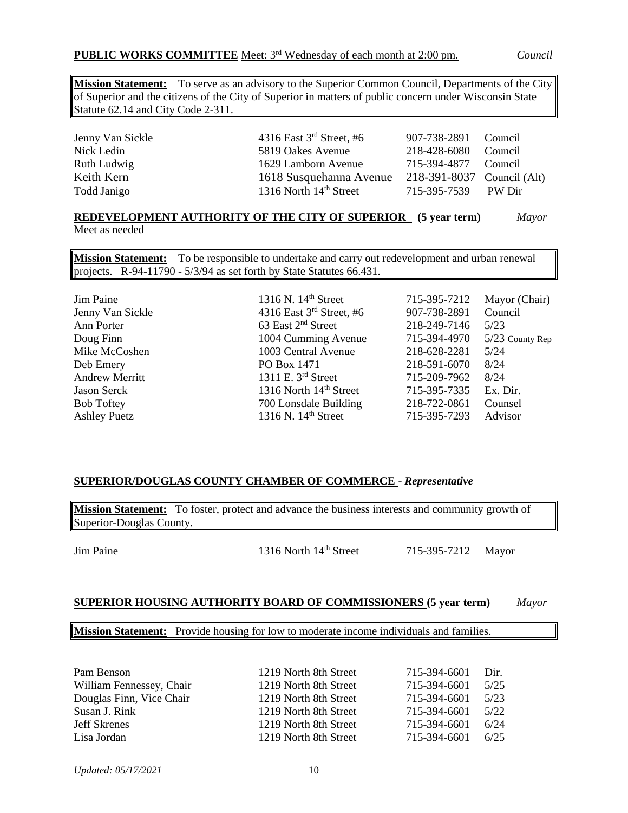**Mission Statement:** To serve as an advisory to the Superior Common Council, Departments of the City of Superior and the citizens of the City of Superior in matters of public concern under Wisconsin State Statute 62.14 and City Code 2-311.

| Jenny Van Sickle | 4316 East $3rd$ Street, #6         | 907-738-2891 Council       |         |
|------------------|------------------------------------|----------------------------|---------|
| Nick Ledin       | 5819 Oakes Avenue                  | 218-428-6080               | Council |
| Ruth Ludwig      | 1629 Lamborn Avenue                | 715-394-4877 Council       |         |
| Keith Kern       | 1618 Susquehanna Avenue            | 218-391-8037 Council (Alt) |         |
| Todd Janigo      | 1316 North 14 <sup>th</sup> Street | 715-395-7539 PW Dir        |         |

#### **REDEVELOPMENT AUTHORITY OF THE CITY OF SUPERIOR (5 year term)** *Mayor* Meet as needed

**Mission Statement:** To be responsible to undertake and carry out redevelopment and urban renewal projects. R-94-11790 - 5/3/94 as set forth by State Statutes 66.431.

| Jim Paine             | 1316 N. 14 <sup>th</sup> Street    | 715-395-7212 | Mayor (Chair)     |
|-----------------------|------------------------------------|--------------|-------------------|
| Jenny Van Sickle      | 4316 East $3rd$ Street, #6         | 907-738-2891 | Council           |
| Ann Porter            | 63 East 2 <sup>nd</sup> Street     | 218-249-7146 | 5/23              |
| Doug Finn             | 1004 Cumming Avenue                | 715-394-4970 | $5/23$ County Rep |
| Mike McCoshen         | 1003 Central Avenue                | 218-628-2281 | 5/24              |
| Deb Emery             | PO Box 1471                        | 218-591-6070 | 8/24              |
| <b>Andrew Merritt</b> | 1311 E. $3rd$ Street               | 715-209-7962 | 8/24              |
| <b>Jason Serck</b>    | 1316 North 14 <sup>th</sup> Street | 715-395-7335 | Ex. Dir.          |
| <b>Bob Toftey</b>     | 700 Lonsdale Building              | 218-722-0861 | Counsel           |
| <b>Ashley Puetz</b>   | 1316 N. $14th$ Street              | 715-395-7293 | Advisor           |

### **SUPERIOR/DOUGLAS COUNTY CHAMBER OF COMMERCE** - *Representative*

**Mission Statement:** To foster, protect and advance the business interests and community growth of Superior-Douglas County.

Jim Paine 1316 North 14<sup>th</sup> Street 715-395-7212 Mayor

### **SUPERIOR HOUSING AUTHORITY BOARD OF COMMISSIONERS (5 year term)** *Mayor*

#### **Mission Statement:** Provide housing for low to moderate income individuals and families.

| Pam Benson               | 1219 North 8th Street | 715-394-6601 | Dir. |
|--------------------------|-----------------------|--------------|------|
| William Fennessey, Chair | 1219 North 8th Street | 715-394-6601 | 5/25 |
| Douglas Finn, Vice Chair | 1219 North 8th Street | 715-394-6601 | 5/23 |
| Susan J. Rink            | 1219 North 8th Street | 715-394-6601 | 5/22 |
| <b>Jeff Skrenes</b>      | 1219 North 8th Street | 715-394-6601 | 6/24 |
| Lisa Jordan              | 1219 North 8th Street | 715-394-6601 | 6/25 |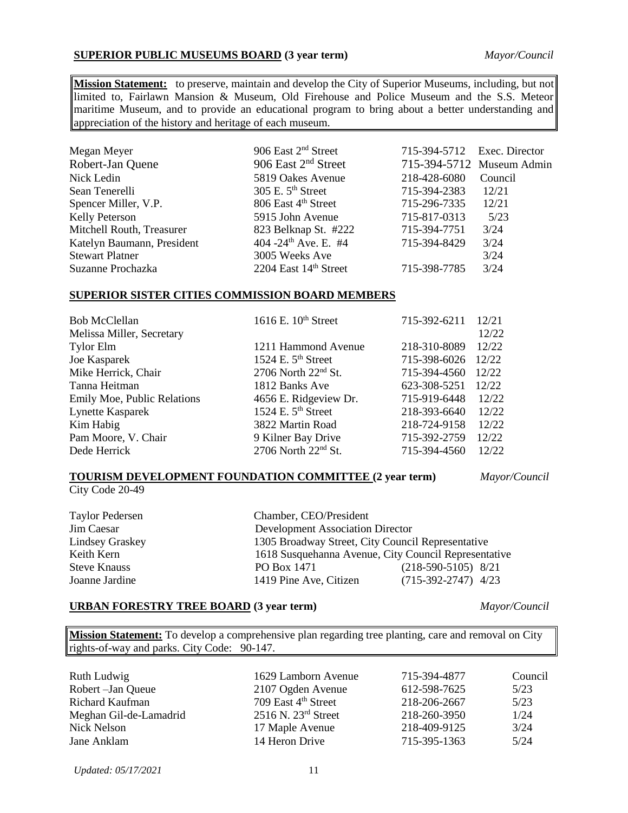### **SUPERIOR PUBLIC MUSEUMS BOARD (3 year term)** *Mayor/Council*

**Mission Statement:** to preserve, maintain and develop the City of Superior Museums, including, but not limited to, Fairlawn Mansion & Museum, Old Firehouse and Police Museum and the S.S. Meteor maritime Museum, and to provide an educational program to bring about a better understanding and appreciation of the history and heritage of each museum.

| Megan Meyer                | 906 East 2 <sup>nd</sup> Street  | 715-394-5712 Exec. Director |                           |
|----------------------------|----------------------------------|-----------------------------|---------------------------|
| Robert-Jan Quene           | 906 East $2nd$ Street            |                             | 715-394-5712 Museum Admin |
| Nick Ledin                 | 5819 Oakes Avenue                | 218-428-6080                | Council                   |
| Sean Tenerelli             | 305 E. $5th$ Street              | 715-394-2383                | 12/21                     |
| Spencer Miller, V.P.       | 806 East 4 <sup>th</sup> Street  | 715-296-7335                | 12/21                     |
| <b>Kelly Peterson</b>      | 5915 John Avenue                 | 715-817-0313                | 5/23                      |
| Mitchell Routh, Treasurer  | 823 Belknap St. #222             | 715-394-7751                | 3/24                      |
| Katelyn Baumann, President | 404 -24 <sup>th</sup> Ave. E. #4 | 715-394-8429                | 3/24                      |
| <b>Stewart Platner</b>     | 3005 Weeks Ave                   |                             | 3/24                      |
| Suzanne Prochazka          | 2204 East 14th Street            | 715-398-7785                | 3/24                      |

#### **SUPERIOR SISTER CITIES COMMISSION BOARD MEMBERS**

| <b>Bob McClellan</b>        | 1616 E. $10th$ Street           | 715-392-6211 | 12/21 |
|-----------------------------|---------------------------------|--------------|-------|
| Melissa Miller, Secretary   |                                 |              | 12/22 |
| <b>Tylor Elm</b>            | 1211 Hammond Avenue             | 218-310-8089 | 12/22 |
| Joe Kasparek                | 1524 E. $5th$ Street            | 715-398-6026 | 12/22 |
| Mike Herrick, Chair         | 2706 North $22nd$ St.           | 715-394-4560 | 12/22 |
| Tanna Heitman               | 1812 Banks Ave                  | 623-308-5251 | 12/22 |
| Emily Moe, Public Relations | 4656 E. Ridgeview Dr.           | 715-919-6448 | 12/22 |
| Lynette Kasparek            | 1524 E. $5th$ Street            | 218-393-6640 | 12/22 |
| Kim Habig                   | 3822 Martin Road                | 218-724-9158 | 12/22 |
| Pam Moore, V. Chair         | 9 Kilner Bay Drive              | 715-392-2759 | 12/22 |
| Dede Herrick                | 2706 North 22 <sup>nd</sup> St. | 715-394-4560 | 12/22 |

#### **TOURISM DEVELOPMENT FOUNDATION COMMITTEE (2 year term)** *Mayor/Council*

City Code 20-49

Taylor Pedersen<br>
Im Caesar Chamber, CEO/President<br>
Development Association Jim Caesar Development Association Director<br>
Lindsey Graskey 1305 Broadway Street, City Council Lindsey Graskey 1305 Broadway Street, City Council Representative<br>Keith Kern 1618 Susquehanna Avenue. City Council Represent 1618 Susquehanna Avenue, City Council Representative Steve Knauss **PO Box 1471** (218-590-5105) 8/21 Joanne Jardine 1419 Pine Ave, Citizen (715-392-2747) 4/23

### **URBAN FORESTRY TREE BOARD (3 year term)** *Mayor/Council*

**Mission Statement:** To develop a comprehensive plan regarding tree planting, care and removal on City rights-of-way and parks. City Code: 90-147.

| Ruth Ludwig            | 1629 Lamborn Avenue             | 715-394-4877 | Council |
|------------------------|---------------------------------|--------------|---------|
| Robert – Jan Queue     | 2107 Ogden Avenue               | 612-598-7625 | 5/23    |
| Richard Kaufman        | 709 East 4 <sup>th</sup> Street | 218-206-2667 | 5/23    |
| Meghan Gil-de-Lamadrid | $2516$ N. $23rd$ Street         | 218-260-3950 | 1/24    |
| Nick Nelson            | 17 Maple Avenue                 | 218-409-9125 | 3/24    |
| Jane Anklam            | 14 Heron Drive                  | 715-395-1363 | 5/24    |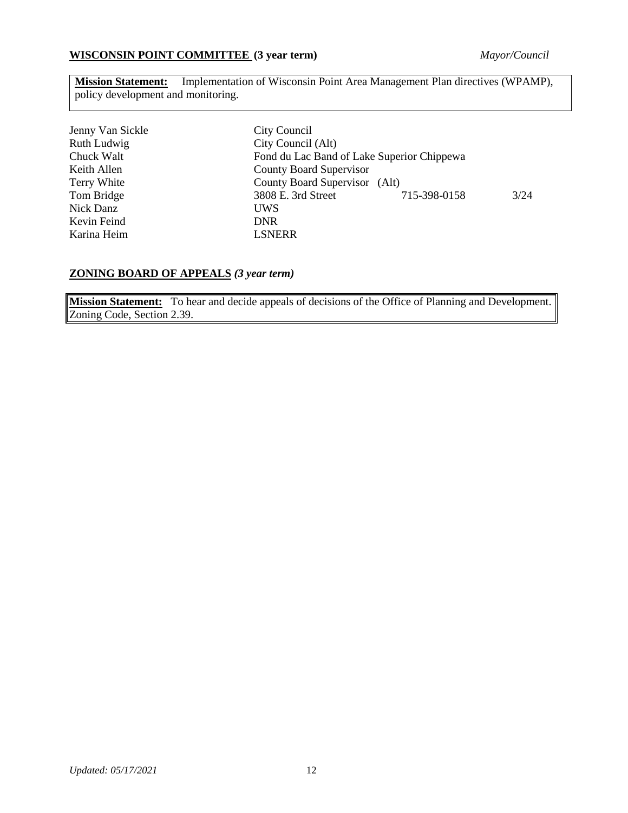### **WISCONSIN POINT COMMITTEE (3 year term)** *Mayor/Council*

**Mission Statement:** Implementation of Wisconsin Point Area Management Plan directives (WPAMP), policy development and monitoring.

| Jenny Van Sickle | City Council                  |                                            |      |  |
|------------------|-------------------------------|--------------------------------------------|------|--|
| Ruth Ludwig      | City Council (Alt)            |                                            |      |  |
| Chuck Walt       |                               | Fond du Lac Band of Lake Superior Chippewa |      |  |
| Keith Allen      | County Board Supervisor       |                                            |      |  |
| Terry White      | County Board Supervisor (Alt) |                                            |      |  |
| Tom Bridge       | 3808 E. 3rd Street            | 715-398-0158                               | 3/24 |  |
| Nick Danz        | <b>UWS</b>                    |                                            |      |  |
| Kevin Feind      | <b>DNR</b>                    |                                            |      |  |
| Karina Heim      | <b>LSNERR</b>                 |                                            |      |  |

### **ZONING BOARD OF APPEALS** *(3 year term)*

**Mission Statement:** To hear and decide appeals of decisions of the Office of Planning and Development. Zoning Code, Section 2.39.